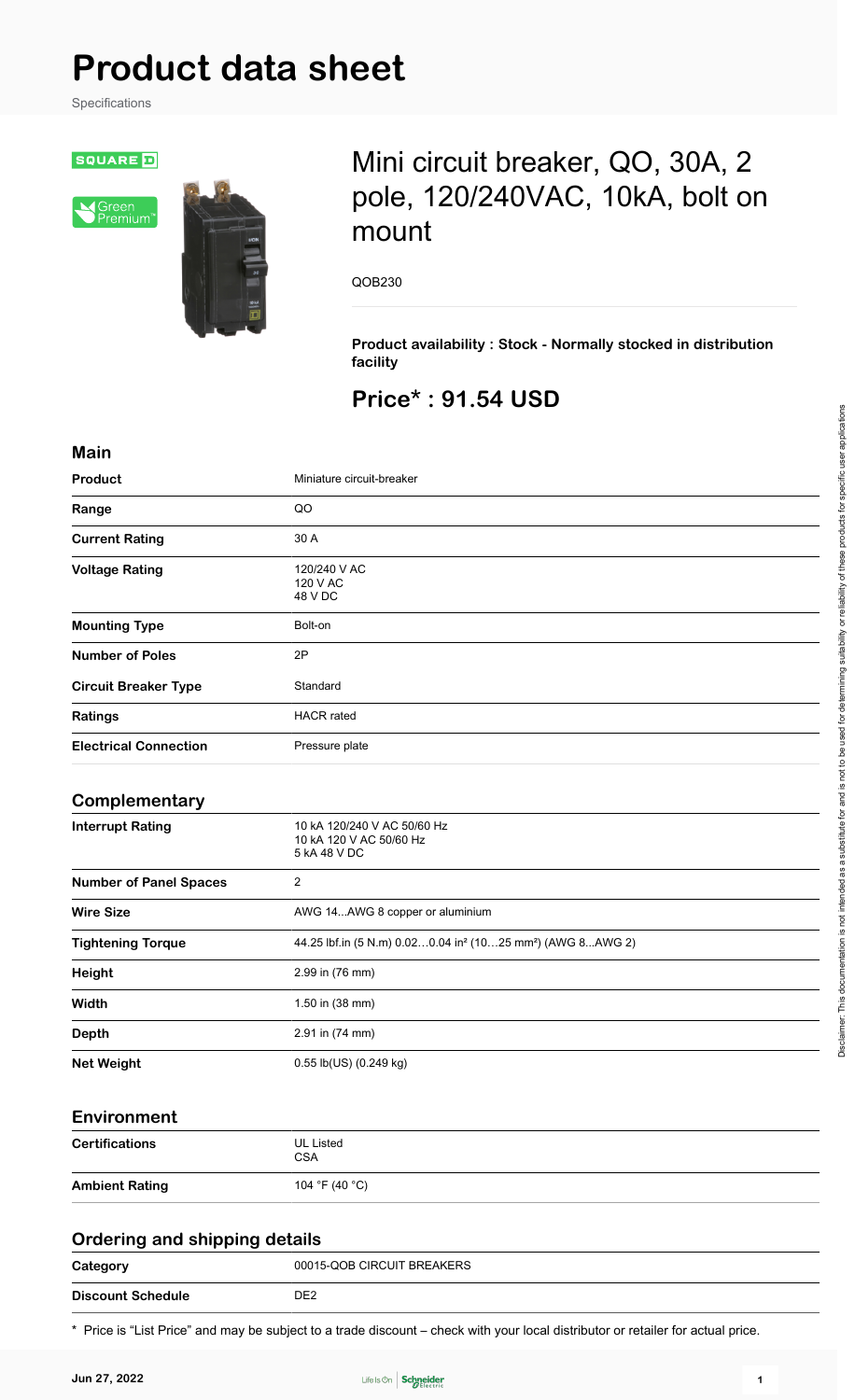# **Product data sheet**

Specifications

**SQUARE D** 





# Mini circuit breaker, QO, 30A, 2 pole, 120/240VAC, 10kA, bolt on mount

QOB230

**Product availability : Stock - Normally stocked in distribution facility**

## **Price\* : 91.54 USD**

| <b>Main</b>                          |                                                                                    |
|--------------------------------------|------------------------------------------------------------------------------------|
| Product                              | Miniature circuit-breaker                                                          |
| Range                                | QO                                                                                 |
| <b>Current Rating</b>                | 30 A                                                                               |
| <b>Voltage Rating</b>                | 120/240 V AC<br>120 V AC<br>48 V DC                                                |
| <b>Mounting Type</b>                 | Bolt-on                                                                            |
| <b>Number of Poles</b>               | 2P                                                                                 |
| <b>Circuit Breaker Type</b>          | Standard                                                                           |
| Ratings                              | <b>HACR</b> rated                                                                  |
| <b>Electrical Connection</b>         | Pressure plate                                                                     |
| Complementary                        |                                                                                    |
| <b>Interrupt Rating</b>              | 10 kA 120/240 V AC 50/60 Hz<br>10 kA 120 V AC 50/60 Hz<br>5 kA 48 V DC             |
| <b>Number of Panel Spaces</b>        | $\sqrt{2}$                                                                         |
| <b>Wire Size</b>                     | AWG 14AWG 8 copper or aluminium                                                    |
| <b>Tightening Torque</b>             | 44.25 lbf.in (5 N.m) 0.020.04 in <sup>2</sup> (1025 mm <sup>2</sup> ) (AWG 8AWG 2) |
| <b>Height</b>                        | 2.99 in (76 mm)                                                                    |
| Width                                | 1.50 in (38 mm)                                                                    |
| <b>Depth</b>                         | 2.91 in (74 mm)                                                                    |
| <b>Net Weight</b>                    | 0.55 lb(US) (0.249 kg)                                                             |
| <b>Environment</b>                   |                                                                                    |
| <b>Certifications</b>                | <b>UL Listed</b><br><b>CSA</b>                                                     |
| <b>Ambient Rating</b>                | 104 °F (40 °C)                                                                     |
| <b>Ordering and shipping details</b> |                                                                                    |

| -<br>.<br>Category       | 00015-QOB CIRCUIT BREAKERS |
|--------------------------|----------------------------|
| <b>Discount Schedule</b> | DE2                        |

\* Price is "List Price" and may be subject to a trade discount – check with your local distributor or retailer for actual price.

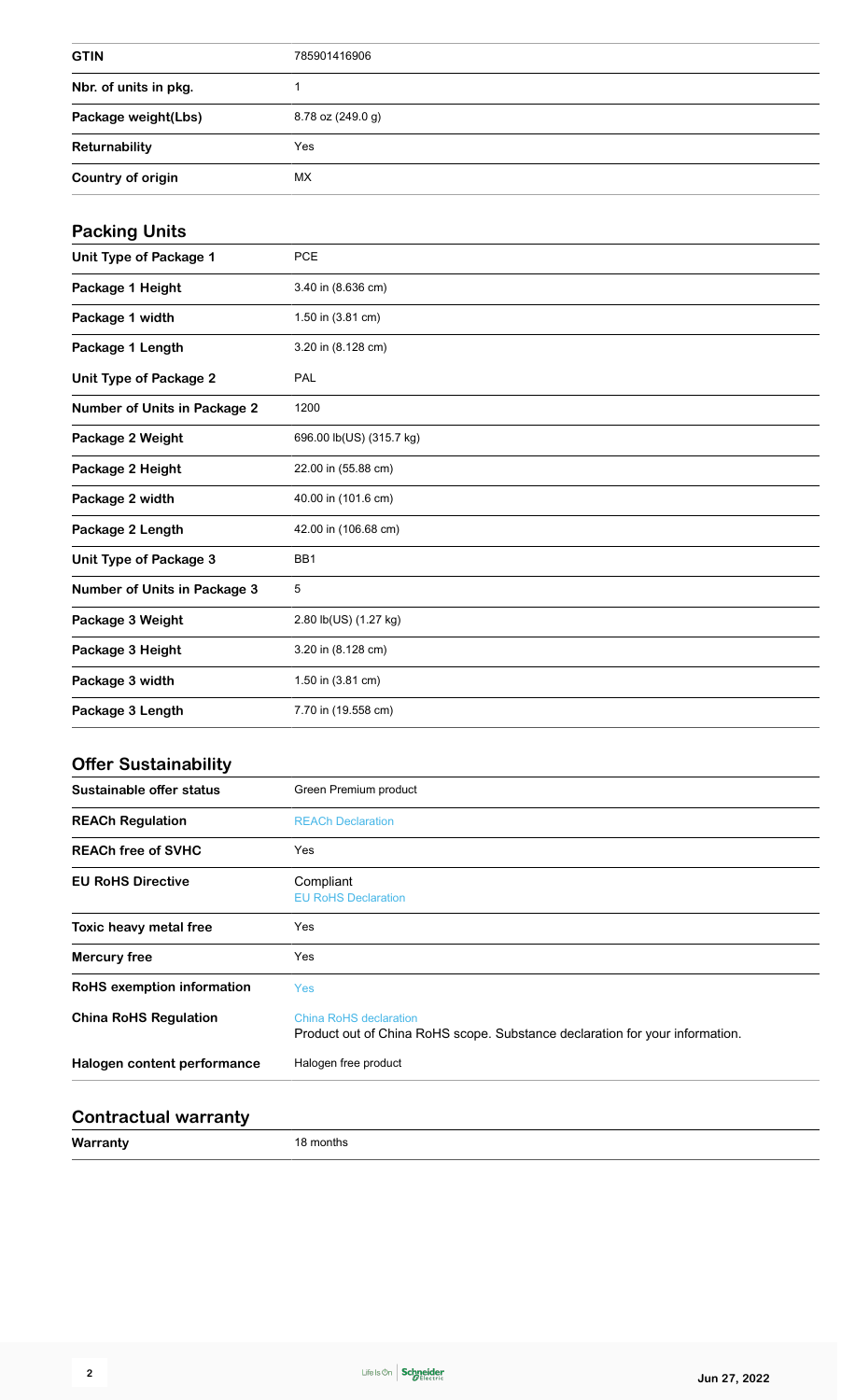| <b>GTIN</b>           | 785901416906      |
|-----------------------|-------------------|
| Nbr. of units in pkg. |                   |
| Package weight(Lbs)   | 8.78 oz (249.0 g) |
| Returnability         | Yes               |
| Country of origin     | МX                |

#### **Packing Units**

| <b>PCE</b>               |
|--------------------------|
|                          |
| 3.40 in (8.636 cm)       |
| 1.50 in (3.81 cm)        |
| 3.20 in (8.128 cm)       |
| PAL                      |
| 1200                     |
| 696.00 lb(US) (315.7 kg) |
| 22.00 in (55.88 cm)      |
| 40.00 in (101.6 cm)      |
| 42.00 in (106.68 cm)     |
| BB1                      |
| 5                        |
| 2.80 lb(US) (1.27 kg)    |
| 3.20 in (8.128 cm)       |
| 1.50 in (3.81 cm)        |
| 7.70 in (19.558 cm)      |
|                          |

#### **Offer Sustainability**

| Green Premium product                                                                                         |
|---------------------------------------------------------------------------------------------------------------|
| <b>REACh Declaration</b>                                                                                      |
| Yes                                                                                                           |
| Compliant<br><b>EU RoHS Declaration</b>                                                                       |
| Yes                                                                                                           |
| Yes                                                                                                           |
| <b>Yes</b>                                                                                                    |
| <b>China RoHS declaration</b><br>Product out of China RoHS scope. Substance declaration for your information. |
| Halogen free product                                                                                          |
|                                                                                                               |

#### **Contractual warranty**

**Warranty** 18 months